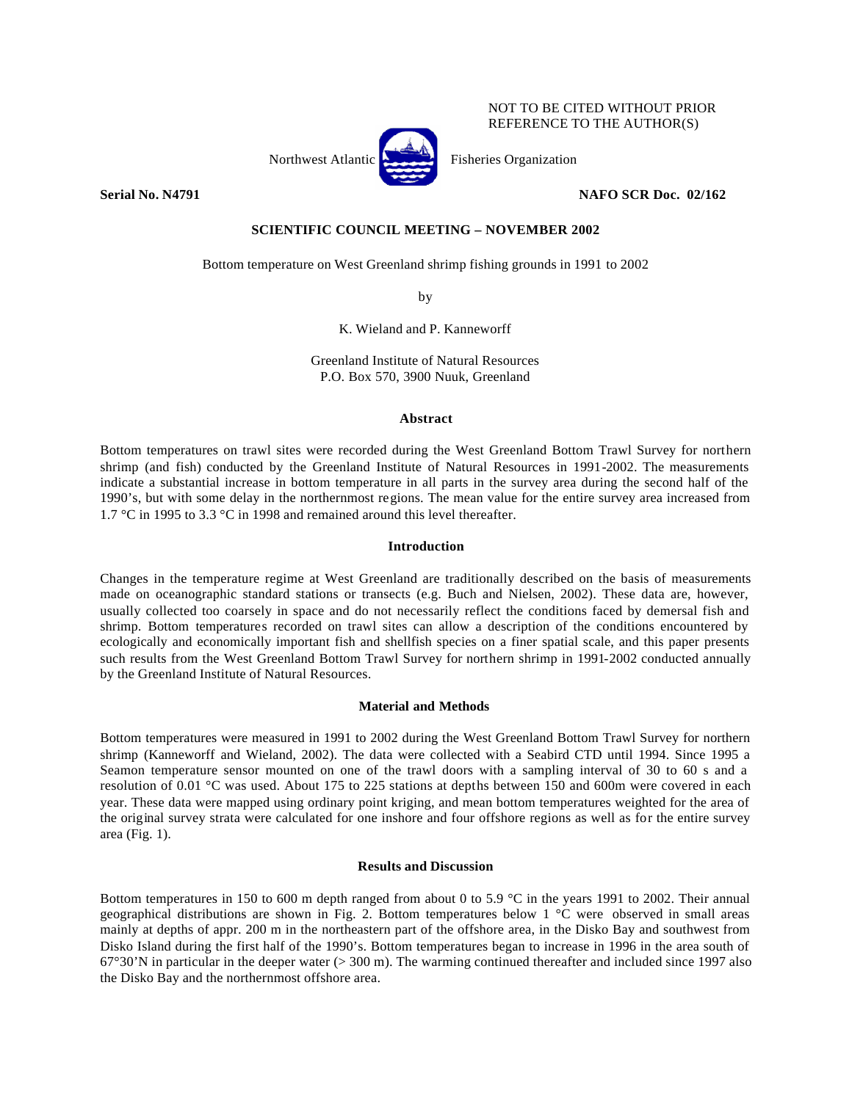

## NOT TO BE CITED WITHOUT PRIOR REFERENCE TO THE AUTHOR(S)

**Serial No. N4791 NAFO SCR Doc. 02/162**

# **SCIENTIFIC COUNCIL MEETING – NOVEMBER 2002**

Bottom temperature on West Greenland shrimp fishing grounds in 1991 to 2002

by

K. Wieland and P. Kanneworff

Greenland Institute of Natural Resources P.O. Box 570, 3900 Nuuk, Greenland

#### **Abstract**

Bottom temperatures on trawl sites were recorded during the West Greenland Bottom Trawl Survey for northern shrimp (and fish) conducted by the Greenland Institute of Natural Resources in 1991-2002. The measurements indicate a substantial increase in bottom temperature in all parts in the survey area during the second half of the 1990's, but with some delay in the northernmost regions. The mean value for the entire survey area increased from 1.7 °C in 1995 to 3.3 °C in 1998 and remained around this level thereafter.

## **Introduction**

Changes in the temperature regime at West Greenland are traditionally described on the basis of measurements made on oceanographic standard stations or transects (e.g. Buch and Nielsen, 2002). These data are, however, usually collected too coarsely in space and do not necessarily reflect the conditions faced by demersal fish and shrimp. Bottom temperatures recorded on trawl sites can allow a description of the conditions encountered by ecologically and economically important fish and shellfish species on a finer spatial scale, and this paper presents such results from the West Greenland Bottom Trawl Survey for northern shrimp in 1991-2002 conducted annually by the Greenland Institute of Natural Resources.

# **Material and Methods**

Bottom temperatures were measured in 1991 to 2002 during the West Greenland Bottom Trawl Survey for northern shrimp (Kanneworff and Wieland, 2002). The data were collected with a Seabird CTD until 1994. Since 1995 a Seamon temperature sensor mounted on one of the trawl doors with a sampling interval of 30 to 60 s and a resolution of 0.01 °C was used. About 175 to 225 stations at depths between 150 and 600m were covered in each year. These data were mapped using ordinary point kriging, and mean bottom temperatures weighted for the area of the original survey strata were calculated for one inshore and four offshore regions as well as for the entire survey area (Fig. 1).

#### **Results and Discussion**

Bottom temperatures in 150 to 600 m depth ranged from about 0 to 5.9 °C in the years 1991 to 2002. Their annual geographical distributions are shown in Fig. 2. Bottom temperatures below  $1 \degree C$  were observed in small areas mainly at depths of appr. 200 m in the northeastern part of the offshore area, in the Disko Bay and southwest from Disko Island during the first half of the 1990's. Bottom temperatures began to increase in 1996 in the area south of  $67^{\circ}30'$ N in particular in the deeper water ( $> 300$  m). The warming continued thereafter and included since 1997 also the Disko Bay and the northernmost offshore area.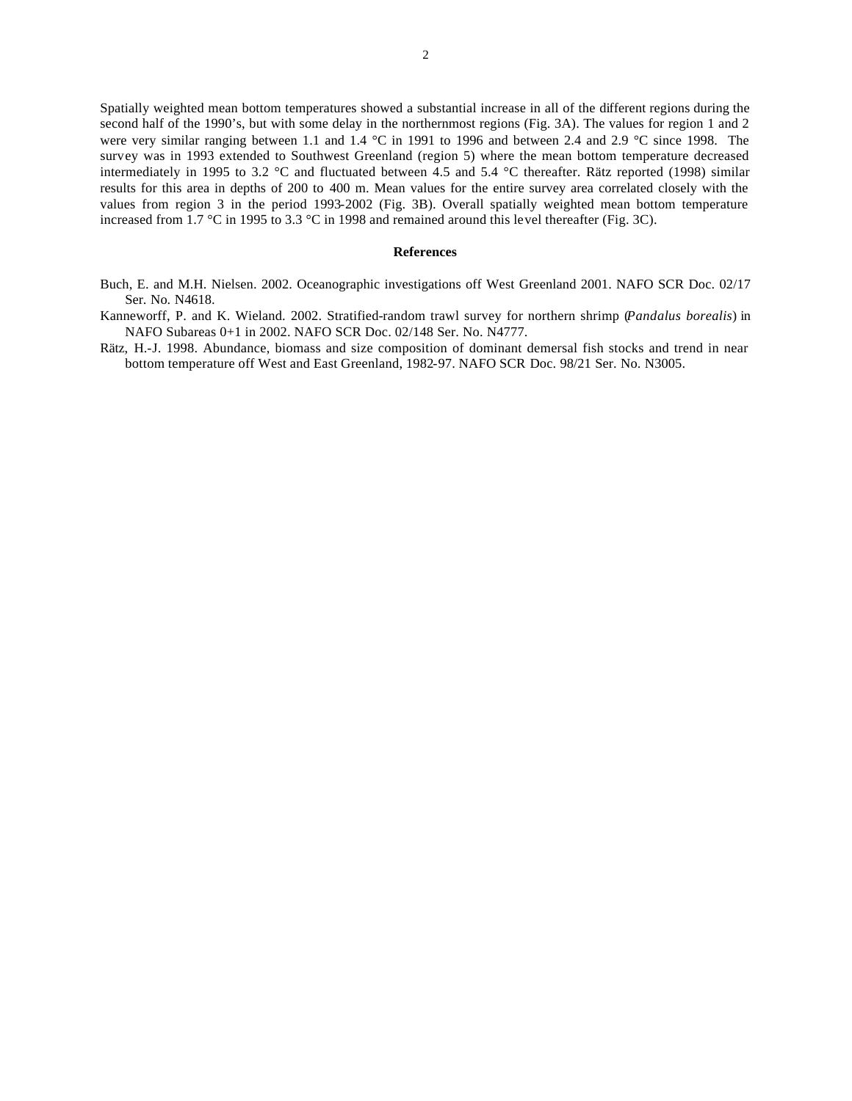Spatially weighted mean bottom temperatures showed a substantial increase in all of the different regions during the second half of the 1990's, but with some delay in the northernmost regions (Fig. 3A). The values for region 1 and 2 were very similar ranging between 1.1 and 1.4 °C in 1991 to 1996 and between 2.4 and 2.9 °C since 1998. The survey was in 1993 extended to Southwest Greenland (region 5) where the mean bottom temperature decreased intermediately in 1995 to 3.2 °C and fluctuated between 4.5 and 5.4 °C thereafter. Rätz reported (1998) similar results for this area in depths of 200 to 400 m. Mean values for the entire survey area correlated closely with the values from region 3 in the period 1993-2002 (Fig. 3B). Overall spatially weighted mean bottom temperature increased from 1.7 °C in 1995 to 3.3 °C in 1998 and remained around this level thereafter (Fig. 3C).

#### **References**

- Buch, E. and M.H. Nielsen. 2002. Oceanographic investigations off West Greenland 2001. NAFO SCR Doc. 02/17 Ser. No. N4618.
- Kanneworff, P. and K. Wieland. 2002. Stratified-random trawl survey for northern shrimp (*Pandalus borealis*) in NAFO Subareas 0+1 in 2002. NAFO SCR Doc. 02/148 Ser. No. N4777.
- Rätz, H.-J. 1998. Abundance, biomass and size composition of dominant demersal fish stocks and trend in near bottom temperature off West and East Greenland, 1982-97. NAFO SCR Doc. 98/21 Ser. No. N3005.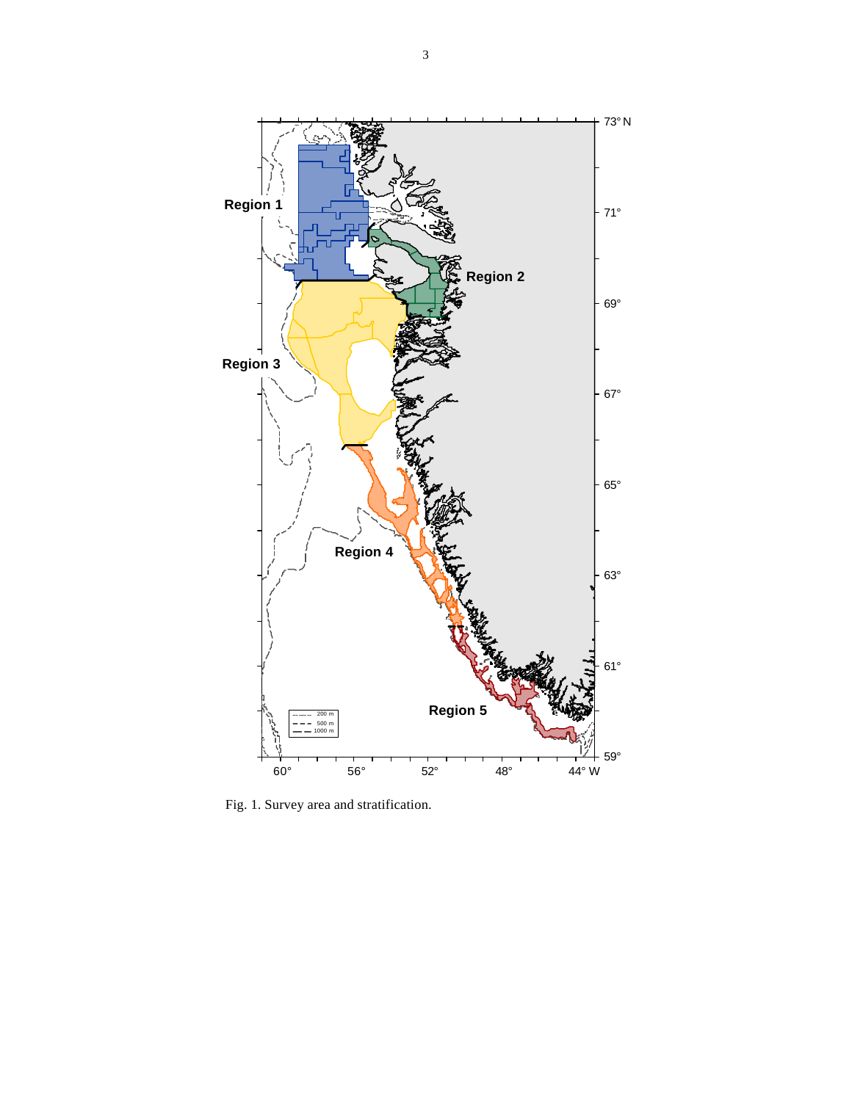

Fig. 1. Survey area and stratification.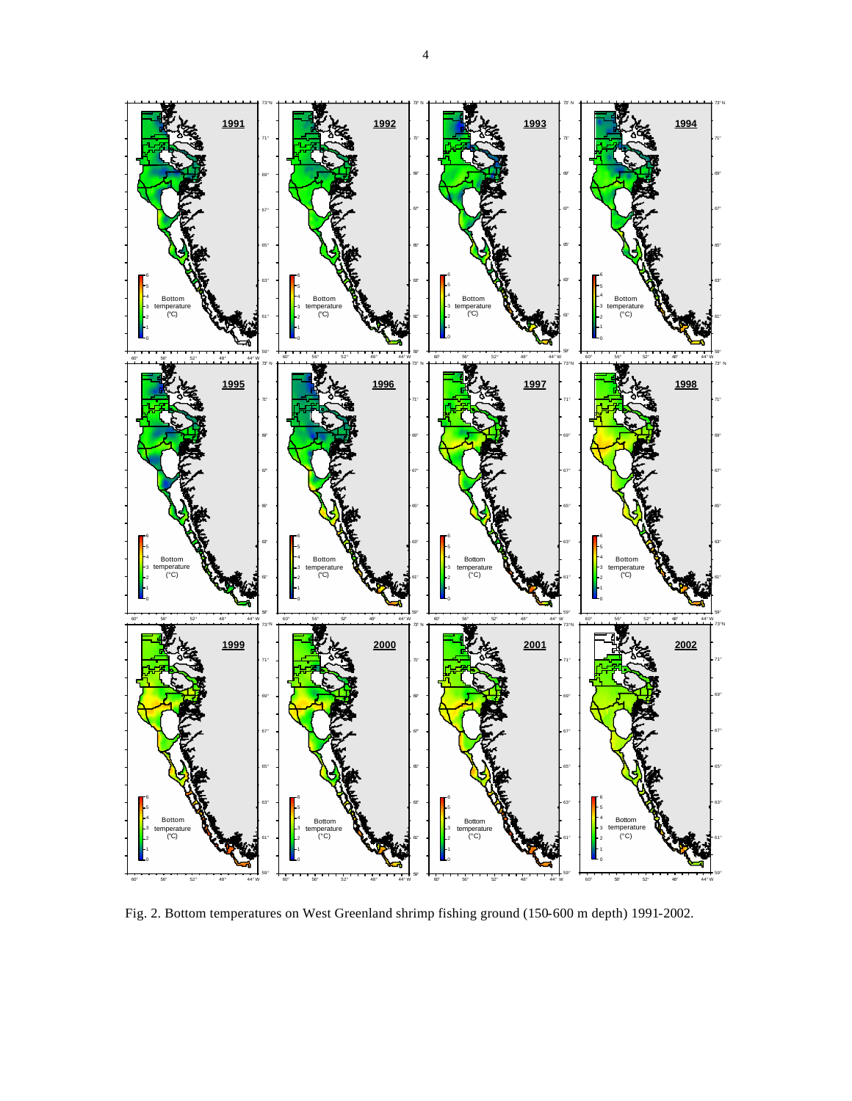

Fig. 2. Bottom temperatures on West Greenland shrimp fishing ground (150-600 m depth) 1991-2002.